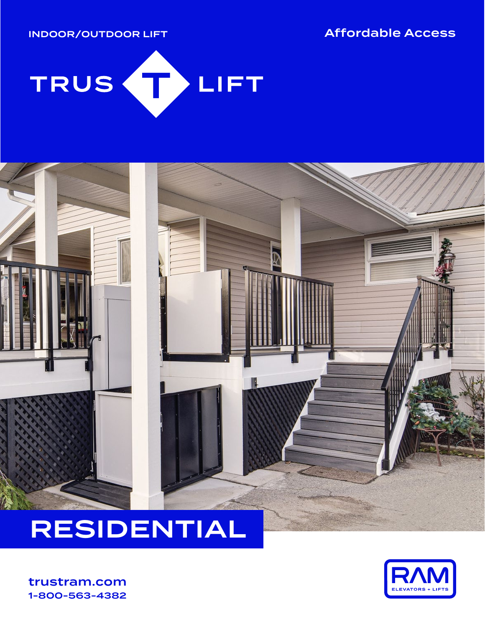INDOOR/OUTDOOR LIFT Affordable Access





# RESIDENTIAL

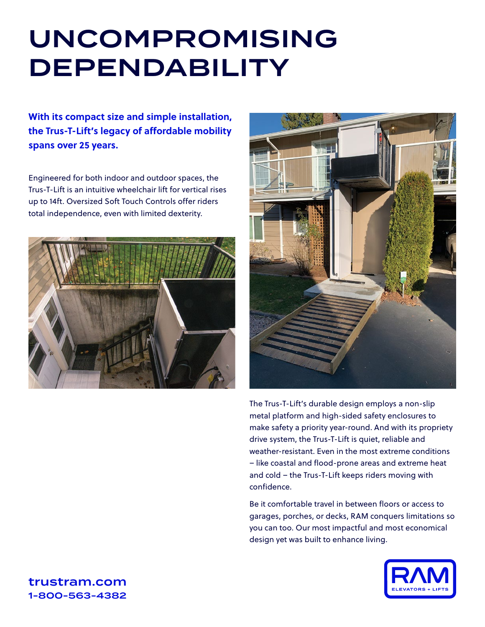# UNCOMPROMISING DEPENDABILITY

**With its compact size and simple installation, the Trus-T-Lift's legacy of affordable mobility spans over 25 years.**

Engineered for both indoor and outdoor spaces, the Trus-T-Lift is an intuitive wheelchair lift for vertical rises up to 14ft. Oversized Soft Touch Controls offer riders total independence, even with limited dexterity.





The Trus-T-Lift's durable design employs a non-slip metal platform and high-sided safety enclosures to make safety a priority year-round. And with its propriety drive system, the Trus-T-Lift is quiet, reliable and weather-resistant. Even in the most extreme conditions – like coastal and flood-prone areas and extreme heat and cold – the Trus-T-Lift keeps riders moving with confidence.

Be it comfortable travel in between floors or access to garages, porches, or decks, RAM conquers limitations so you can too. Our most impactful and most economical design yet was built to enhance living.

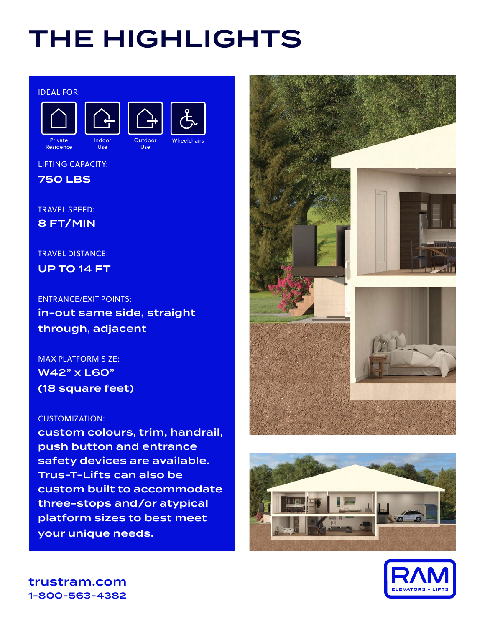# THE HIGHLIGHTS

#### IDEAL FOR:





Use



Use

LIFTING CAPACITY:

750 LBS

TRAVEL SPEED: 8 FT/MIN

### TRAVEL DISTANCE:

UP TO 14 FT

ENTRANCE/EXIT POINTS: in-out same side, straight through, adjacent

MAX PLATFORM SIZE: W42" x L60" (18 square feet)

### CUSTOMIZATION:

custom colours, trim, handrail, push button and entrance safety devices are available. Trus-T-Lifts can also be custom built to accommodate three-stops and/or atypical platform sizes to best meet your unique needs.





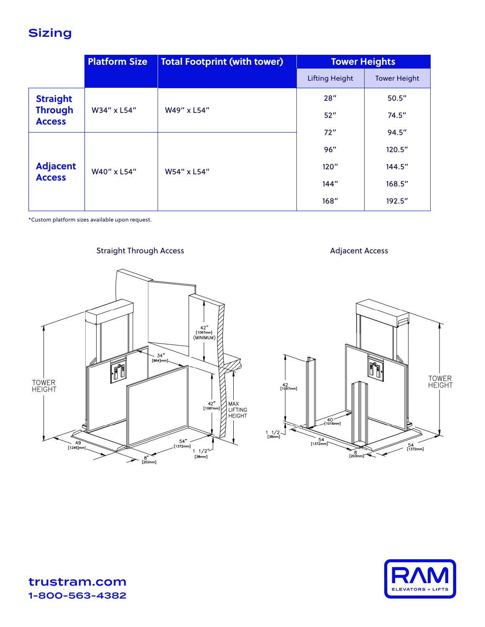# **Sizing**

|                                                    | <b>Platform Size</b> | <b>Total Footprint (with tower)</b> | <b>Tower Heights</b>  |                     |
|----------------------------------------------------|----------------------|-------------------------------------|-----------------------|---------------------|
|                                                    |                      |                                     | <b>Lifting Height</b> | <b>Tower Height</b> |
| <b>Straight</b><br><b>Through</b><br><b>Access</b> | W34" x L54"          | W49" x L54"                         | 28''                  | 50.5''              |
|                                                    |                      |                                     | 52"                   | 74.5''              |
| <b>Adjacent</b><br><b>Access</b>                   | W40" x L54"          | W54" x L54"                         | 72"                   | 94.5''              |
|                                                    |                      |                                     | 96"                   | 120.5"              |
|                                                    |                      |                                     | 120''                 | 144.5''             |
|                                                    |                      |                                     | 144''                 | 168.5''             |
|                                                    |                      |                                     | 168''                 | 192.5''             |

\*Custom platform sizes available upon request.

### Straight Through Access **Adjacent Access** Adjacent Access





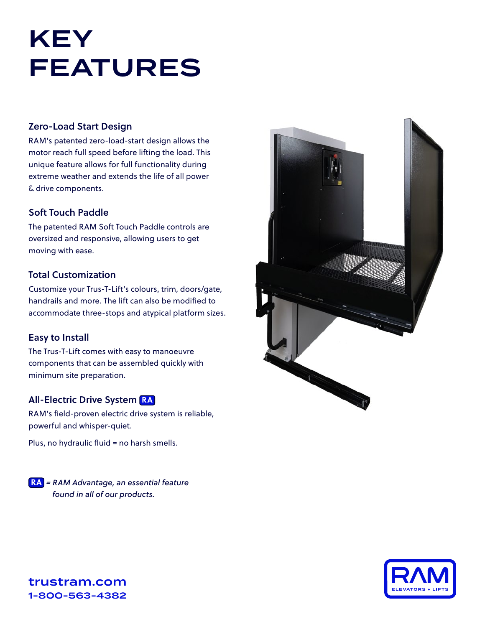# KEY FEATURES

#### Zero-Load Start Design

RAM's patented zero-load-start design allows the motor reach full speed before lifting the load. This unique feature allows for full functionality during extreme weather and extends the life of all power & drive components.

### Soft Touch Paddle

The patented RAM Soft Touch Paddle controls are oversized and responsive, allowing users to get moving with ease.

#### Total Customization

Customize your Trus-T-Lift's colours, trim, doors/gate, handrails and more. The lift can also be modified to accommodate three-stops and atypical platform sizes.

### Easy to Install

The Trus-T-Lift comes with easy to manoeuvre components that can be assembled quickly with minimum site preparation.

### All-Electric Drive System **RA**

RAM's field-proven electric drive system is reliable, powerful and whisper-quiet.

Plus, no hydraulic fluid = no harsh smells.

**RA** *= RAM Advantage, an essential feature found in all of our products.*



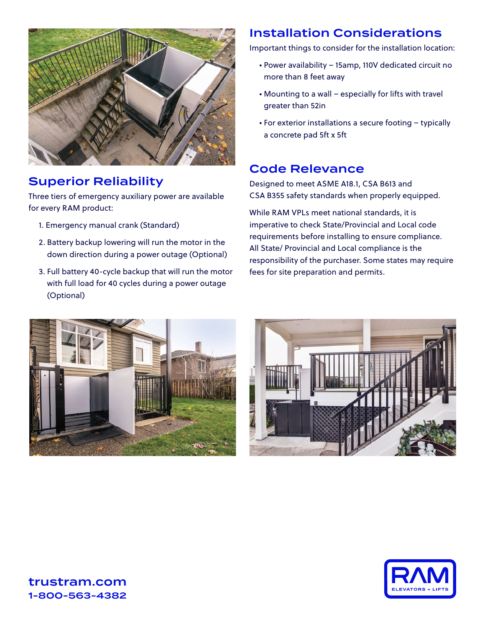

## Superior Reliability

Three tiers of emergency auxiliary power are available for every RAM product:

- 1. Emergency manual crank (Standard)
- 2. Battery backup lowering will run the motor in the down direction during a power outage (Optional)
- 3. Full battery 40-cycle backup that will run the motor with full load for 40 cycles during a power outage (Optional)

### Installation Considerations

Important things to consider for the installation location:

- Power availability 15amp, 110V dedicated circuit no more than 8 feet away
- Mounting to a wall especially for lifts with travel greater than 52in
- For exterior installations a secure footing typically a concrete pad 5ft x 5ft

### Code Relevance

Designed to meet ASME A18.1, CSA B613 and CSA B355 safety standards when properly equipped.

While RAM VPLs meet national standards, it is imperative to check State/Provincial and Local code requirements before installing to ensure compliance. All State/ Provincial and Local compliance is the responsibility of the purchaser. Some states may require fees for site preparation and permits.